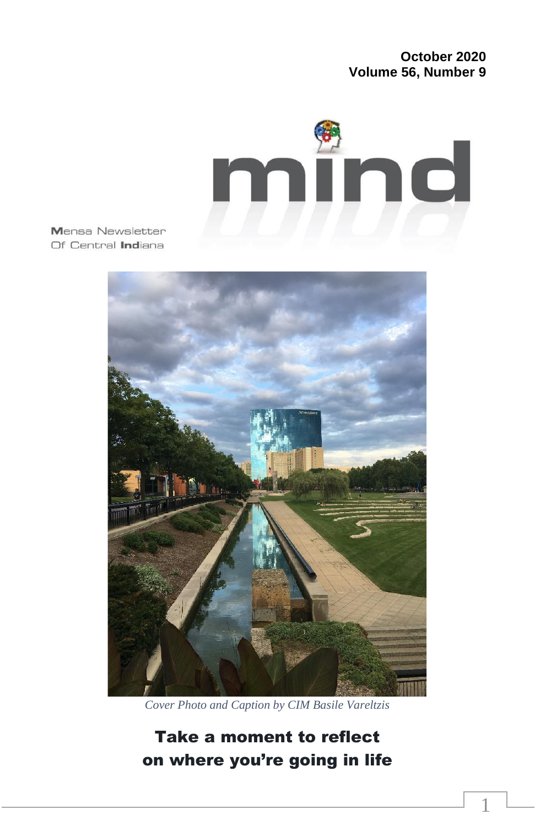#### **October 2020 Volume 56, Number 9**

1



Mensa Newsletter Of Central Indiana



*Cover Photo and Caption by CIM Basile Vareltzis*

Take a moment to reflect on where you're going in life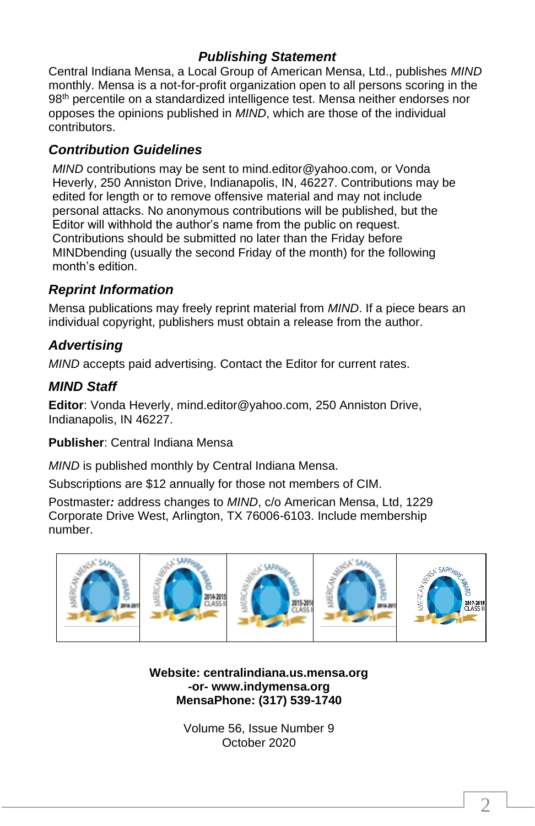### *Publishing Statement*

Central Indiana Mensa, a Local Group of American Mensa, Ltd., publishes *MIND* monthly. Mensa is a not-for-profit organization open to all persons scoring in the 98<sup>th</sup> percentile on a standardized intelligence test. Mensa neither endorses nor opposes the opinions published in *MIND*, which are those of the individual contributors.

#### *Contribution Guidelines*

*MIND* contributions may be sent to mind.editor@yahoo.com*,* or Vonda Heverly, 250 Anniston Drive, Indianapolis, IN, 46227. Contributions may be edited for length or to remove offensive material and may not include personal attacks. No anonymous contributions will be published, but the Editor will withhold the author's name from the public on request. Contributions should be submitted no later than the Friday before MINDbending (usually the second Friday of the month) for the following month's edition.

#### *Reprint Information*

Mensa publications may freely reprint material from *MIND*. If a piece bears an individual copyright, publishers must obtain a release from the author.

### *Advertising*

*MIND* accepts paid advertising. Contact the Editor for current rates.

#### *MIND Staff*

**Editor**: Vonda Heverly, mind.editor@yahoo.com*,* 250 Anniston Drive, Indianapolis, IN 46227.

**Publisher**: Central Indiana Mensa

*MIND* is published monthly by Central Indiana Mensa.

Subscriptions are \$12 annually for those not members of CIM.

Postmaster*:* address changes to *MIND*, c/o American Mensa, Ltd, 1229 Corporate Drive West, Arlington, TX 76006-6103. Include membership number.



**Website: centralindiana.us.mensa.org -or- www.indymensa.org MensaPhone: (317) 539-1740**

> Volume 56, Issue Number 9 October 2020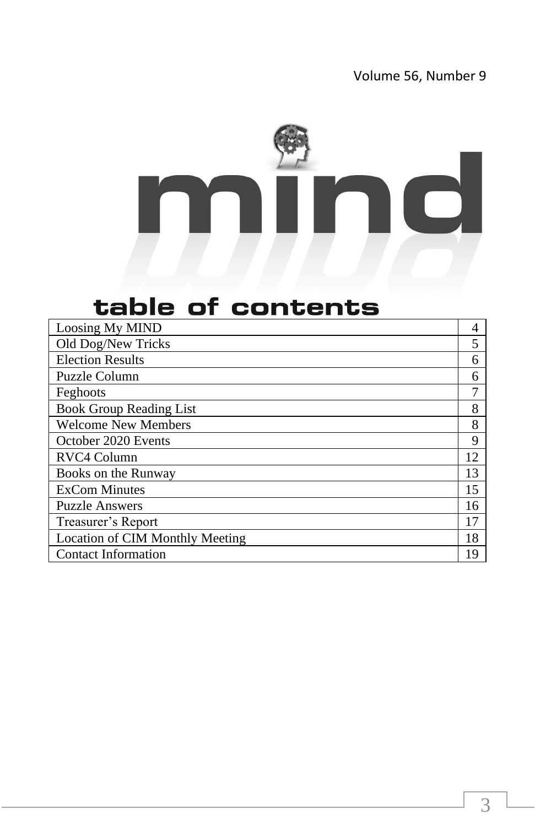

# table of contents

| Loosing My MIND                 |    |
|---------------------------------|----|
| Old Dog/New Tricks              | 5  |
| <b>Election Results</b>         | 6  |
| Puzzle Column                   | 6  |
| Feghoots                        |    |
| <b>Book Group Reading List</b>  | 8  |
| <b>Welcome New Members</b>      | 8  |
| October 2020 Events             | 9  |
| RVC4 Column                     | 12 |
| Books on the Runway             | 13 |
| <b>ExCom Minutes</b>            | 15 |
| <b>Puzzle Answers</b>           | 16 |
| Treasurer's Report              | 17 |
| Location of CIM Monthly Meeting | 18 |
| <b>Contact Information</b>      | 19 |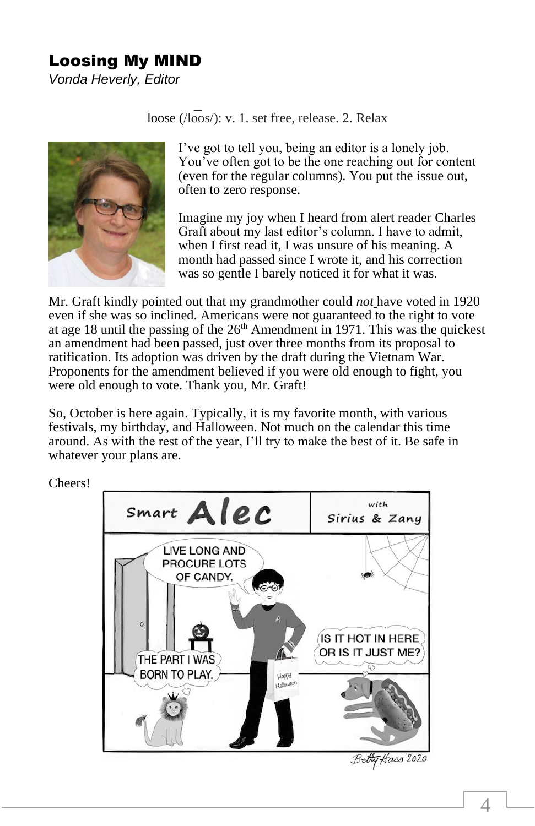## Loosing My MIND

*Vonda Heverly, Editor*

loose (/loos/): v. 1. set free, release. 2. Relax



I've got to tell you, being an editor is a lonely job. You've often got to be the one reaching out for content (even for the regular columns). You put the issue out, often to zero response.

Imagine my joy when I heard from alert reader Charles Graft about my last editor's column. I have to admit, when I first read it, I was unsure of his meaning. A month had passed since I wrote it, and his correction was so gentle I barely noticed it for what it was.

Mr. Graft kindly pointed out that my grandmother could *not* have voted in 1920 even if she was so inclined. Americans were not guaranteed to the right to vote at age 18 until the passing of the  $26<sup>th</sup>$  Amendment in 1971. This was the quickest an amendment had been passed, just over three months from its proposal to ratification. Its adoption was driven by the draft during the Vietnam War. Proponents for the amendment believed if you were old enough to fight, you were old enough to vote. Thank you, Mr. Graft!

So, October is here again. Typically, it is my favorite month, with various festivals, my birthday, and Halloween. Not much on the calendar this time around. As with the rest of the year, I'll try to make the best of it. Be safe in whatever your plans are.



Betty Hoss 2020

Cheers!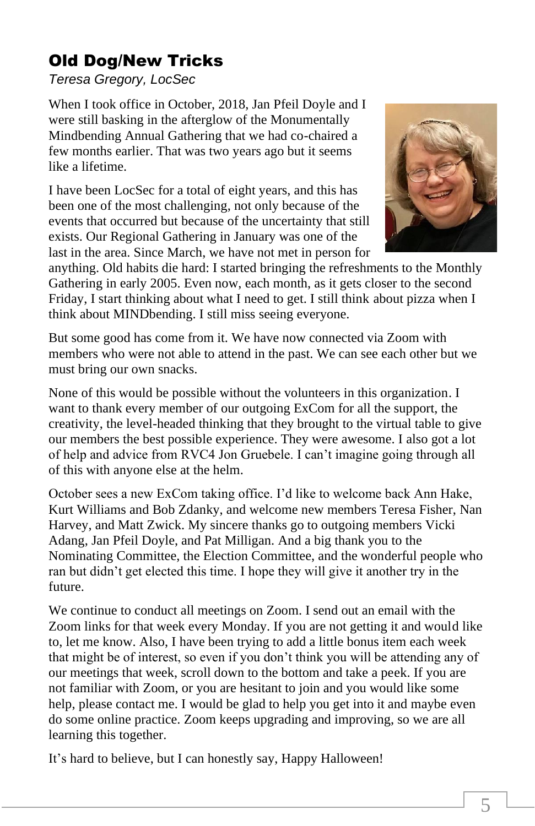# Old Dog/New Tricks

*Teresa Gregory, LocSec*

When I took office in October, 2018, Jan Pfeil Doyle and I were still basking in the afterglow of the Monumentally Mindbending Annual Gathering that we had co-chaired a few months earlier. That was two years ago but it seems like a lifetime.

I have been LocSec for a total of eight years, and this has been one of the most challenging, not only because of the events that occurred but because of the uncertainty that still exists. Our Regional Gathering in January was one of the last in the area. Since March, we have not met in person for



anything. Old habits die hard: I started bringing the refreshments to the Monthly Gathering in early 2005. Even now, each month, as it gets closer to the second Friday, I start thinking about what I need to get. I still think about pizza when I think about MINDbending. I still miss seeing everyone.

But some good has come from it. We have now connected via Zoom with members who were not able to attend in the past. We can see each other but we must bring our own snacks.

None of this would be possible without the volunteers in this organization. I want to thank every member of our outgoing ExCom for all the support, the creativity, the level-headed thinking that they brought to the virtual table to give our members the best possible experience. They were awesome. I also got a lot of help and advice from RVC4 Jon Gruebele. I can't imagine going through all of this with anyone else at the helm.

October sees a new ExCom taking office. I'd like to welcome back Ann Hake, Kurt Williams and Bob Zdanky, and welcome new members Teresa Fisher, Nan Harvey, and Matt Zwick. My sincere thanks go to outgoing members Vicki Adang, Jan Pfeil Doyle, and Pat Milligan. And a big thank you to the Nominating Committee, the Election Committee, and the wonderful people who ran but didn't get elected this time. I hope they will give it another try in the future.

We continue to conduct all meetings on Zoom. I send out an email with the Zoom links for that week every Monday. If you are not getting it and would like to, let me know. Also, I have been trying to add a little bonus item each week that might be of interest, so even if you don't think you will be attending any of our meetings that week, scroll down to the bottom and take a peek. If you are not familiar with Zoom, or you are hesitant to join and you would like some help, please contact me. I would be glad to help you get into it and maybe even do some online practice. Zoom keeps upgrading and improving, so we are all learning this together.

It's hard to believe, but I can honestly say, Happy Halloween!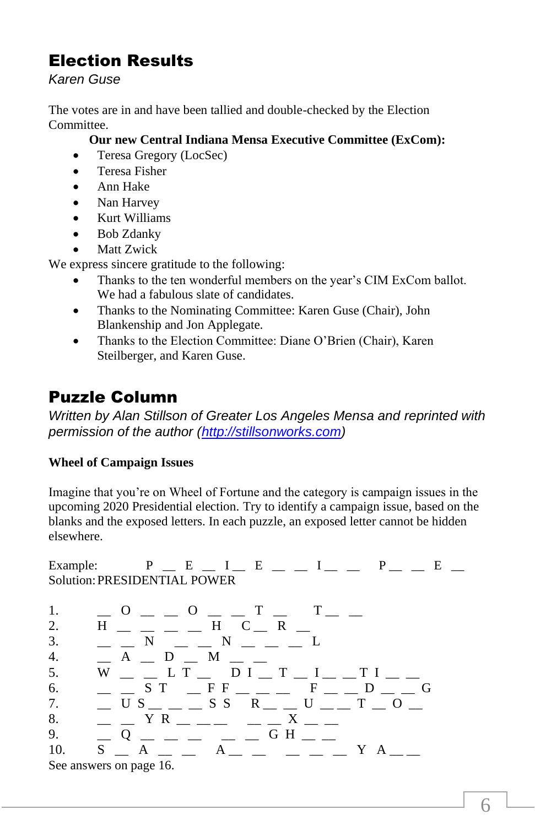# Election Results

*Karen Guse*

The votes are in and have been tallied and double-checked by the Election Committee.

#### **Our new Central Indiana Mensa Executive Committee (ExCom):**

- Teresa Gregory (LocSec)
- Teresa Fisher
- Ann Hake
- Nan Harvey
- Kurt Williams
- Bob Zdanky
- **Matt Zwick**

We express sincere gratitude to the following:

- Thanks to the ten wonderful members on the year's CIM ExCom ballot. We had a fabulous slate of candidates.
- Thanks to the Nominating Committee: Karen Guse (Chair), John Blankenship and Jon Applegate.
- Thanks to the Election Committee: Diane O'Brien (Chair), Karen Steilberger, and Karen Guse.

# Puzzle Column

*Written by Alan Stillson of Greater Los Angeles Mensa and reprinted with permission of the author [\(http://stillsonworks.com\)](http://stillsonworks.com/)*

### **Wheel of Campaign Issues**

Imagine that you're on Wheel of Fortune and the category is campaign issues in the upcoming 2020 Presidential election. Try to identify a campaign issue, based on the blanks and the exposed letters. In each puzzle, an exposed letter cannot be hidden elsewhere.

Example:  $P = E = I - E = I - I - P - E = E$ Solution:PRESIDENTIAL POWER

| 1. | $0 = 0 = 0 = 0$               |
|----|-------------------------------|
| 2. | $H$ _ _ _ _ H C _ R _         |
| 3. |                               |
| 4. | A D M                         |
| 5. | W LT DI T I TI                |
| 6. | $ S T$ $F F$ $ F F$ $D$ $D$   |
| 7. | US SSR U TO                   |
| 8. | $Y R$ X                       |
| 9. |                               |
|    | 10. S A<br>A YA               |
|    | $\alpha$ angwers on naga $16$ |

See answers on page 16.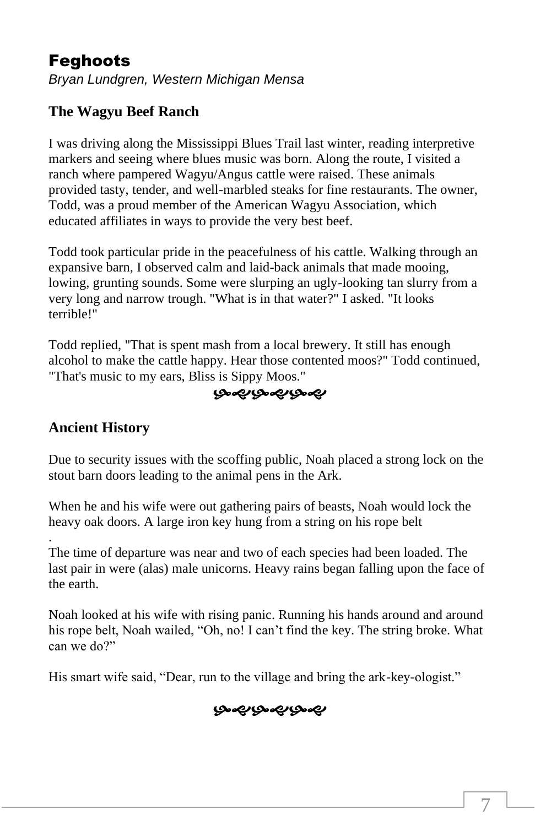## Feghoots

*Bryan Lundgren, Western Michigan Mensa*

## **The Wagyu Beef Ranch**

I was driving along the Mississippi Blues Trail last winter, reading interpretive markers and seeing where blues music was born. Along the route, I visited a ranch where pampered Wagyu/Angus cattle were raised. These animals provided tasty, tender, and well-marbled steaks for fine restaurants. The owner, Todd, was a proud member of the American Wagyu Association, which educated affiliates in ways to provide the very best beef.

Todd took particular pride in the peacefulness of his cattle. Walking through an expansive barn, I observed calm and laid-back animals that made mooing, lowing, grunting sounds. Some were slurping an ugly-looking tan slurry from a very long and narrow trough. "What is in that water?" I asked. "It looks terrible!"

Todd replied, "That is spent mash from a local brewery. It still has enough alcohol to make the cattle happy. Hear those contented moos?" Todd continued, "That's music to my ears, Bliss is Sippy Moos."

### بصمبربصمبرهم

#### **Ancient History**

Due to security issues with the scoffing public, Noah placed a strong lock on the stout barn doors leading to the animal pens in the Ark.

When he and his wife were out gathering pairs of beasts, Noah would lock the heavy oak doors. A large iron key hung from a string on his rope belt

. The time of departure was near and two of each species had been loaded. The last pair in were (alas) male unicorns. Heavy rains began falling upon the face of the earth.

Noah looked at his wife with rising panic. Running his hands around and around his rope belt, Noah wailed, "Oh, no! I can't find the key. The string broke. What can we do?"

His smart wife said, "Dear, run to the village and bring the ark-key-ologist."

### بصميربصمير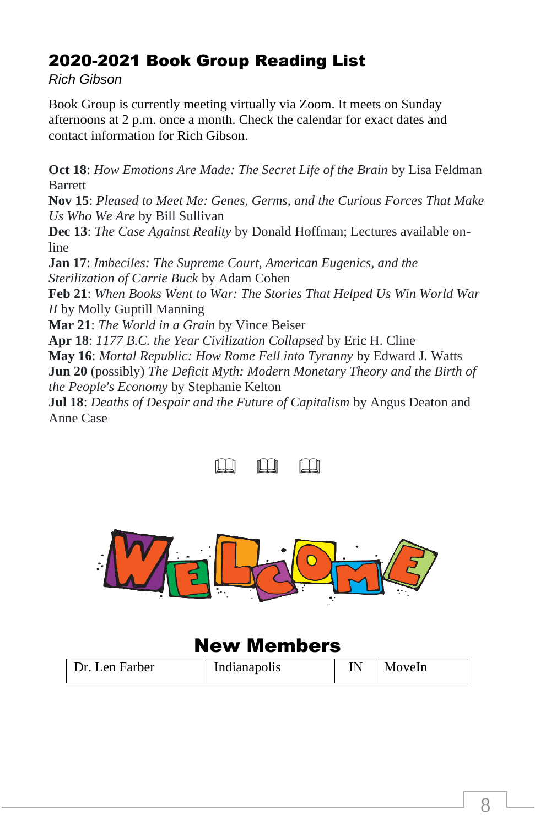## 2020-2021 Book Group Reading List

*Rich Gibson*

Book Group is currently meeting virtually via Zoom. It meets on Sunday afternoons at 2 p.m. once a month. Check the calendar for exact dates and contact information for Rich Gibson.

**Oct 18**: *How Emotions Are Made: The Secret Life of the Brain* by Lisa Feldman **Barrett** 

**Nov 15**: *Pleased to Meet Me: Genes, Germs, and the Curious Forces That Make Us Who We Are* by Bill Sullivan

**Dec 13**: *The Case Against Reality* by Donald Hoffman; Lectures available online

**Jan 17**: *Imbeciles: The Supreme Court, American Eugenics, and the Sterilization of Carrie Buck* by Adam Cohen

**Feb 21**: *When Books Went to War: The Stories That Helped Us Win World War II* by Molly Guptill Manning

**Mar 21**: *The World in a Grain* by Vince Beiser

**Apr 18**: *1177 B.C. the Year Civilization Collapsed* by Eric H. Cline **May 16**: *Mortal Republic: How Rome Fell into Tyranny* by Edward J. Watts **Jun 20** (possibly) *The Deficit Myth: Modern Monetary Theory and the Birth of the People's Economy* by Stephanie Kelton

**Jul 18**: *Deaths of Despair and the Future of Capitalism* by Angus Deaton and Anne Case





## New Members

| Dr. Len Farber | Indianapolis |  | MoveIn |
|----------------|--------------|--|--------|
|----------------|--------------|--|--------|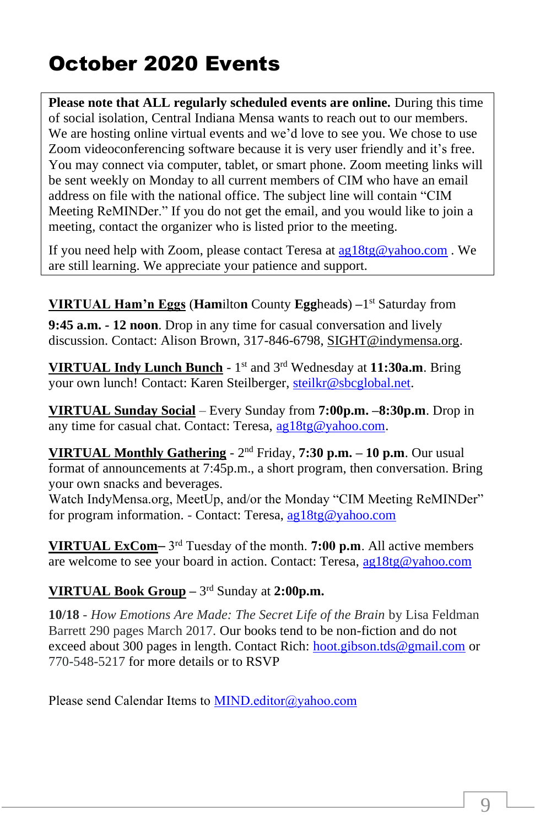# October 2020 Events

**Please note that ALL regularly scheduled events are online.** During this time of social isolation, Central Indiana Mensa wants to reach out to our members. We are hosting online virtual events and we'd love to see you. We chose to use Zoom videoconferencing software because it is very user friendly and it's free. You may connect via computer, tablet, or smart phone. Zoom meeting links will be sent weekly on Monday to all current members of CIM who have an email address on file with the national office. The subject line will contain "CIM Meeting ReMINDer." If you do not get the email, and you would like to join a meeting, contact the organizer who is listed prior to the meeting.

If you need help with Zoom, please contact Teresa at [ag18tg@yahoo.com](about:blank) . We are still learning. We appreciate your patience and support.

**VIRTUAL Ham'n Eggs** (**Ham**ilto**n** County **Egg**head**s**) **–**1 st Saturday from

**9:45 a.m.** *-* **12 noon**. Drop in any time for casual conversation and lively discussion. Contact: Alison Brown, 317-846-6798, [SIGHT@indymensa.org.](about:blank)

**VIRTUAL Indy Lunch Bunch** - 1 st and 3rd Wednesday at **11:30a.m**. Bring your own lunch! Contact: Karen Steilberger, [steilkr@sbcglobal.net.](about:blank)

**VIRTUAL Sunday Social** – Every Sunday from **7:00p.m. –8:30p.m**. Drop in any time for casual chat. Contact: Teresa, [ag18tg@yahoo.com.](about:blank)

**VIRTUAL Monthly Gathering** - 2<sup>nd</sup> Friday, **7:30 p.m.** – 10 p.m. Our usual format of announcements at 7:45p.m., a short program, then conversation. Bring your own snacks and beverages.

Watch IndyMensa.org, MeetUp, and/or the Monday "CIM Meeting ReMINDer" for program information. - Contact: Teresa[, ag18tg@yahoo.com](about:blank)

**VIRTUAL ExCom**–3<sup>rd</sup> Tuesday of the month. **7:00 p.m**. All active members are welcome to see your board in action. Contact: Teresa, [ag18tg@yahoo.com](about:blank)

### **VIRTUAL Book Group –** 3 rd Sunday at **2:00p.m.**

**10/18** *- How Emotions Are Made: The Secret Life of the Brain* by Lisa Feldman Barrett 290 pages March 2017. Our books tend to be non-fiction and do not exceed about 300 pages in length. Contact Rich: [hoot.gibson.tds@gmail.com](about:blank) or 770-548-5217 for more details or to RSVP

Please send Calendar Items to [MIND.editor@yahoo.com](about:blank)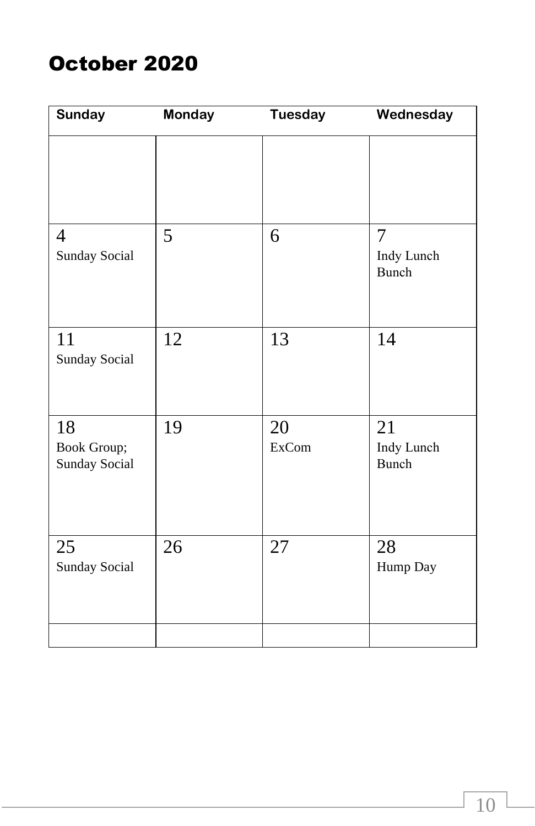# October 2020

| <b>Sunday</b>                      | <b>Monday</b> | <b>Tuesday</b>     | Wednesday                             |
|------------------------------------|---------------|--------------------|---------------------------------------|
|                                    |               |                    |                                       |
| 4<br>Sunday Social                 | 5             | 6                  | $\overline{7}$<br>Indy Lunch<br>Bunch |
| 11<br>Sunday Social                | 12            | 13                 | 14                                    |
| 18<br>Book Group;<br>Sunday Social | 19            | 20<br><b>ExCom</b> | 21<br>Indy Lunch<br>Bunch             |
| 25<br>Sunday Social                | 26            | 27                 | 28<br>Hump Day                        |
|                                    |               |                    |                                       |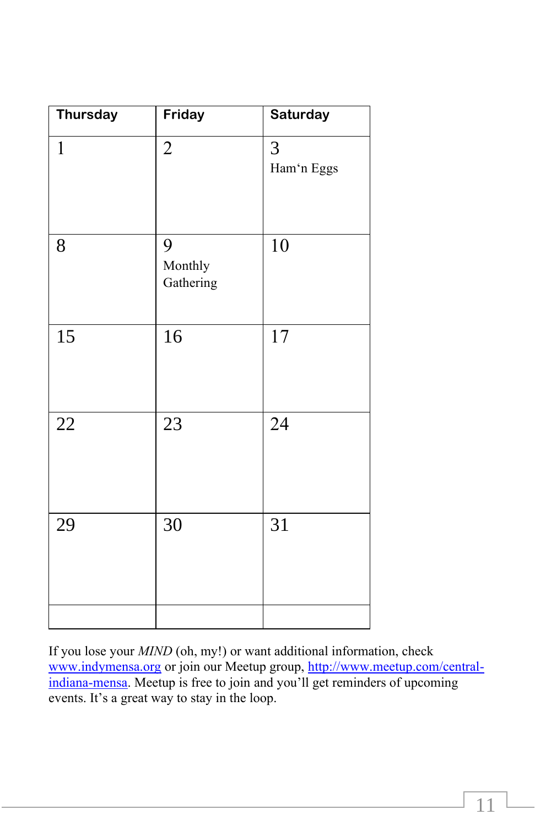| Thursday     | Friday                    | Saturday        |
|--------------|---------------------------|-----------------|
| $\mathbf{1}$ | $\overline{2}$            | 3<br>Ham'n Eggs |
| 8            | 9<br>Monthly<br>Gathering | 10              |
| 15           | 16                        | 17              |
| 22           | 23                        | 24              |
| 29           | 30                        | 31              |
|              |                           |                 |

If you lose your *MIND* (oh, my!) or want additional information, check [www.indymensa.org](about:blank) or join our Meetup group, [http://www.meetup.com/central](about:blank)[indiana-mensa.](about:blank) Meetup is free to join and you'll get reminders of upcoming events. It's a great way to stay in the loop.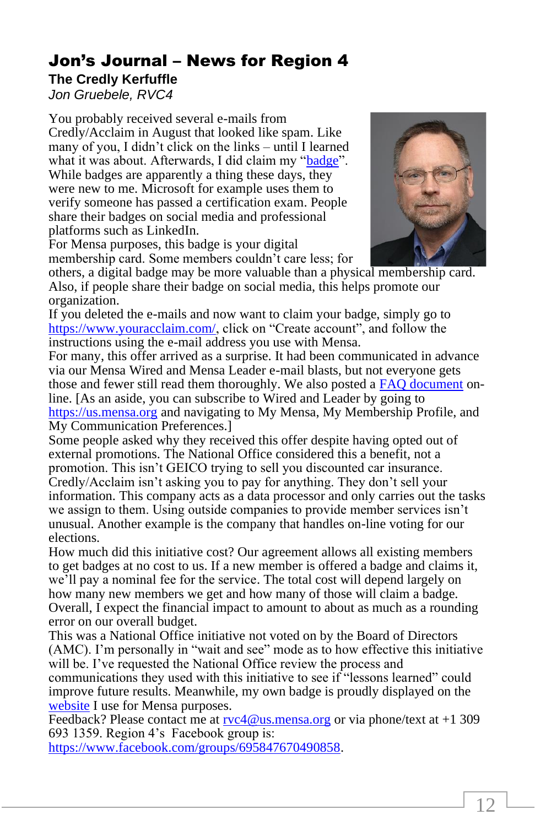## Jon's Journal – News for Region 4

## **The Credly Kerfuffle**

*Jon Gruebele, RVC4*

You probably received several e-mails from Credly/Acclaim in August that looked like spam. Like many of you, I didn't click on the links – until I learned what it was about. Afterwards, I did claim my ["badge"](about:blank). While badges are apparently a thing these days, they were new to me. Microsoft for example uses them to verify someone has passed a certification exam. People share their badges on social media and professional platforms such as LinkedIn.



For Mensa purposes, this badge is your digital membership card. Some members couldn't care less; for

others, a digital badge may be more valuable than a physical membership card. Also, if people share their badge on social media, this helps promote our organization.

If you deleted the e-mails and now want to claim your badge, simply go to [https://www.youracclaim.com/,](about:blank) click on "Create account", and follow the instructions using the e-mail address you use with Mensa.

For many, this offer arrived as a surprise. It had been communicated in advance via our Mensa Wired and Mensa Leader e-mail blasts, but not everyone gets those and fewer still read them thoroughly. We also posted a **FAQ** document online. [As an aside, you can subscribe to Wired and Leader by going to [https://us.mensa.org](about:blank) and navigating to My Mensa, My Membership Profile, and My Communication Preferences.]

Some people asked why they received this offer despite having opted out of external promotions. The National Office considered this a benefit, not a promotion. This isn't GEICO trying to sell you discounted car insurance. Credly/Acclaim isn't asking you to pay for anything. They don't sell your information. This company acts as a data processor and only carries out the tasks we assign to them. Using outside companies to provide member services isn't unusual. Another example is the company that handles on-line voting for our elections.

How much did this initiative cost? Our agreement allows all existing members to get badges at no cost to us. If a new member is offered a badge and claims it, we'll pay a nominal fee for the service. The total cost will depend largely on how many new members we get and how many of those will claim a badge. Overall, I expect the financial impact to amount to about as much as a rounding error on our overall budget.

This was a National Office initiative not voted on by the Board of Directors (AMC). I'm personally in "wait and see" mode as to how effective this initiative will be. I've requested the National Office review the process and communications they used with this initiative to see if "lessons learned" could improve future results. Meanwhile, my own badge is proudly displayed on the

[website](about:blank) I use for Mensa purposes.

Feedback? Please contact me at  $rvc4@us.mensa.org$  or via phone/text at +1 309 693 1359. Region 4's Facebook group is:

[https://www.facebook.com/groups/695847670490858.](about:blank)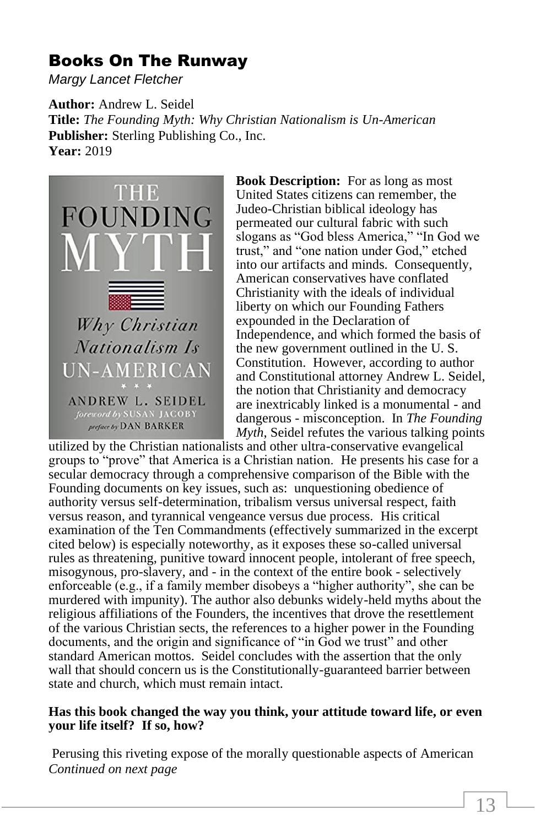## Books On The Runway

*Margy Lancet Fletcher*

**Author:** Andrew L. Seidel **Title:** *The Founding Myth: Why Christian Nationalism is Un-American* **Publisher:** Sterling Publishing Co., Inc. **Year:** 2019



**Book Description:** For as long as most United States citizens can remember, the Judeo-Christian biblical ideology has permeated our cultural fabric with such slogans as "God bless America," "In God we trust," and "one nation under God," etched into our artifacts and minds. Consequently, American conservatives have conflated Christianity with the ideals of individual liberty on which our Founding Fathers expounded in the Declaration of Independence, and which formed the basis of the new government outlined in the U. S. Constitution. However, according to author and Constitutional attorney Andrew L. Seidel, the notion that Christianity and democracy are inextricably linked is a monumental - and dangerous - misconception. In *The Founding Myth*, Seidel refutes the various talking points

utilized by the Christian nationalists and other ultra-conservative evangelical groups to "prove" that America is a Christian nation. He presents his case for a secular democracy through a comprehensive comparison of the Bible with the Founding documents on key issues, such as: unquestioning obedience of authority versus self-determination, tribalism versus universal respect, faith versus reason, and tyrannical vengeance versus due process. His critical examination of the Ten Commandments (effectively summarized in the excerpt cited below) is especially noteworthy, as it exposes these so-called universal rules as threatening, punitive toward innocent people, intolerant of free speech, misogynous, pro-slavery, and - in the context of the entire book - selectively enforceable (e.g., if a family member disobeys a "higher authority", she can be murdered with impunity). The author also debunks widely-held myths about the religious affiliations of the Founders, the incentives that drove the resettlement of the various Christian sects, the references to a higher power in the Founding documents, and the origin and significance of "in God we trust" and other standard American mottos. Seidel concludes with the assertion that the only wall that should concern us is the Constitutionally-guaranteed barrier between state and church, which must remain intact.

#### **Has this book changed the way you think, your attitude toward life, or even your life itself? If so, how?**

Perusing this riveting expose of the morally questionable aspects of American *Continued on next page*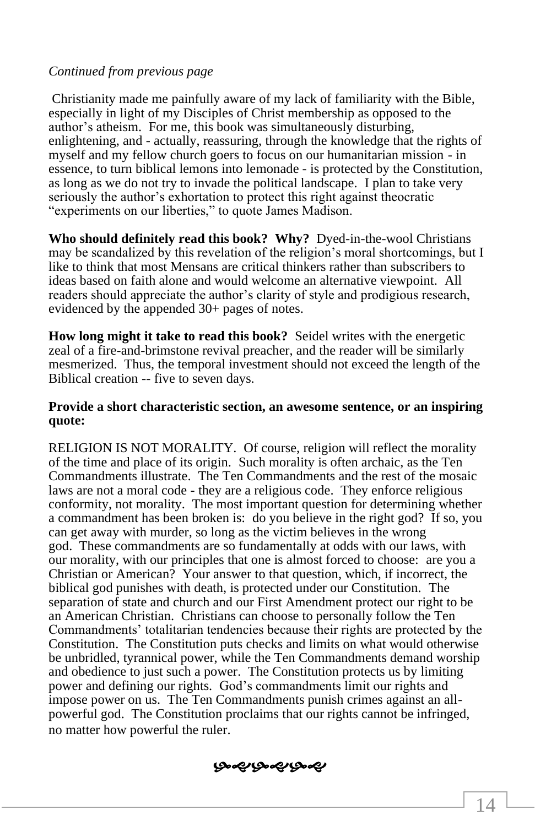#### *Continued from previous page*

Christianity made me painfully aware of my lack of familiarity with the Bible, especially in light of my Disciples of Christ membership as opposed to the author's atheism. For me, this book was simultaneously disturbing, enlightening, and - actually, reassuring, through the knowledge that the rights of myself and my fellow church goers to focus on our humanitarian mission - in essence, to turn biblical lemons into lemonade - is protected by the Constitution, as long as we do not try to invade the political landscape. I plan to take very seriously the author's exhortation to protect this right against theocratic "experiments on our liberties," to quote James Madison.

**Who should definitely read this book? Why?** Dyed-in-the-wool Christians may be scandalized by this revelation of the religion's moral shortcomings, but I like to think that most Mensans are critical thinkers rather than subscribers to ideas based on faith alone and would welcome an alternative viewpoint. All readers should appreciate the author's clarity of style and prodigious research, evidenced by the appended 30+ pages of notes.

**How long might it take to read this book?** Seidel writes with the energetic zeal of a fire-and-brimstone revival preacher, and the reader will be similarly mesmerized. Thus, the temporal investment should not exceed the length of the Biblical creation -- five to seven days.

#### **Provide a short characteristic section, an awesome sentence, or an inspiring quote:**

RELIGION IS NOT MORALITY. Of course, religion will reflect the morality of the time and place of its origin. Such morality is often archaic, as the Ten Commandments illustrate. The Ten Commandments and the rest of the mosaic laws are not a moral code - they are a religious code. They enforce religious conformity, not morality. The most important question for determining whether a commandment has been broken is: do you believe in the right god? If so, you can get away with murder, so long as the victim believes in the wrong god. These commandments are so fundamentally at odds with our laws, with our morality, with our principles that one is almost forced to choose: are you a Christian or American? Your answer to that question, which, if incorrect, the biblical god punishes with death, is protected under our Constitution. The separation of state and church and our First Amendment protect our right to be an American Christian. Christians can choose to personally follow the Ten Commandments' totalitarian tendencies because their rights are protected by the Constitution. The Constitution puts checks and limits on what would otherwise be unbridled, tyrannical power, while the Ten Commandments demand worship and obedience to just such a power. The Constitution protects us by limiting power and defining our rights. God's commandments limit our rights and impose power on us. The Ten Commandments punish crimes against an allpowerful god. The Constitution proclaims that our rights cannot be infringed, no matter how powerful the ruler.

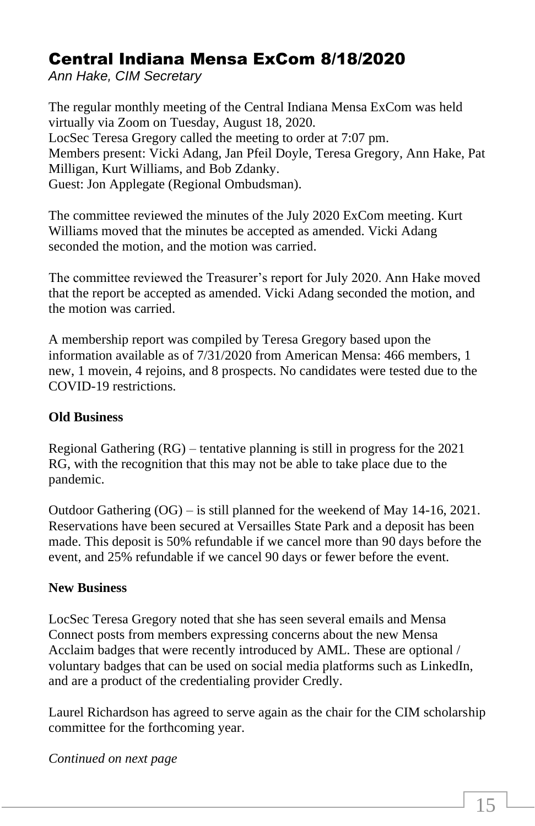## Central Indiana Mensa ExCom 8/18/2020

*Ann Hake, CIM Secretary*

The regular monthly meeting of the Central Indiana Mensa ExCom was held virtually via Zoom on Tuesday, August 18, 2020. LocSec Teresa Gregory called the meeting to order at 7:07 pm. Members present: Vicki Adang, Jan Pfeil Doyle, Teresa Gregory, Ann Hake, Pat Milligan, Kurt Williams, and Bob Zdanky. Guest: Jon Applegate (Regional Ombudsman).

The committee reviewed the minutes of the July 2020 ExCom meeting. Kurt Williams moved that the minutes be accepted as amended. Vicki Adang seconded the motion, and the motion was carried.

The committee reviewed the Treasurer's report for July 2020. Ann Hake moved that the report be accepted as amended. Vicki Adang seconded the motion, and the motion was carried.

A membership report was compiled by Teresa Gregory based upon the information available as of 7/31/2020 from American Mensa: 466 members, 1 new, 1 movein, 4 rejoins, and 8 prospects. No candidates were tested due to the COVID-19 restrictions.

#### **Old Business**

Regional Gathering (RG) – tentative planning is still in progress for the 2021 RG, with the recognition that this may not be able to take place due to the pandemic.

Outdoor Gathering (OG) – is still planned for the weekend of May 14-16, 2021. Reservations have been secured at Versailles State Park and a deposit has been made. This deposit is 50% refundable if we cancel more than 90 days before the event, and 25% refundable if we cancel 90 days or fewer before the event.

#### **New Business**

LocSec Teresa Gregory noted that she has seen several emails and Mensa Connect posts from members expressing concerns about the new Mensa Acclaim badges that were recently introduced by AML. These are optional / voluntary badges that can be used on social media platforms such as LinkedIn, and are a product of the credentialing provider Credly.

Laurel Richardson has agreed to serve again as the chair for the CIM scholarship committee for the forthcoming year.

#### *Continued on next page*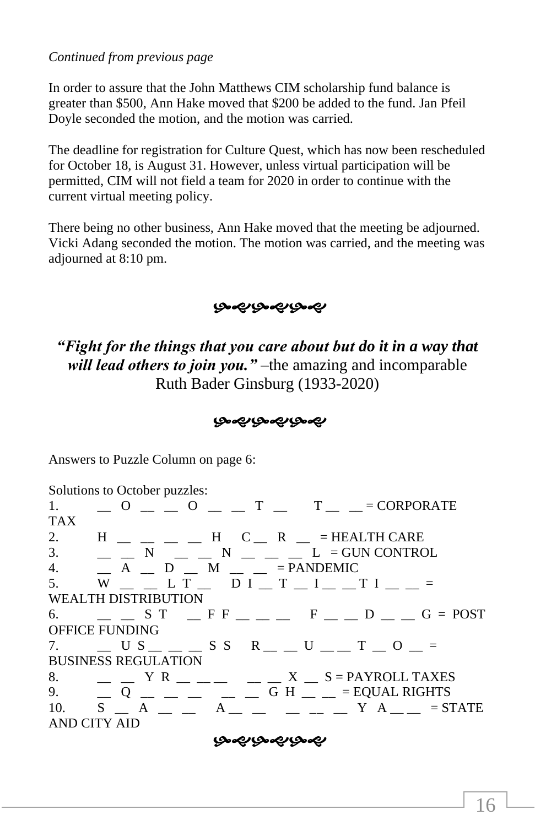#### *Continued from previous page*

In order to assure that the John Matthews CIM scholarship fund balance is greater than \$500, Ann Hake moved that \$200 be added to the fund. Jan Pfeil Doyle seconded the motion, and the motion was carried.

The deadline for registration for Culture Quest, which has now been rescheduled for October 18, is August 31. However, unless virtual participation will be permitted, CIM will not field a team for 2020 in order to continue with the current virtual meeting policy.

There being no other business, Ann Hake moved that the meeting be adjourned. Vicki Adang seconded the motion. The motion was carried, and the meeting was adjourned at 8:10 pm.

#### بصوبصوبصو

*"Fight for the things that you care about but do it in a way that will lead others to join you."* –the amazing and incomparable Ruth Bader Ginsburg (1933-2020)

#### بصميرهمين

Answers to Puzzle Column on page 6:

Solutions to October puzzles: 1.  $\Box$  O  $\Box$  O  $\Box$   $\Box$  T  $\Box$  T  $\Box$  = CORPORATE **TAX** 2.  $H$   $=$   $=$   $=$   $H$   $C$   $=$   $R$   $=$   $=$  HEALTH CARE 3.  $\Box$  N  $\Box$  N  $\Box$  N  $\Box$   $\Box$  L = GUN CONTROL 4.  $\Box$  A  $\Box$  D  $\Box$  M  $\Box$  = PANDEMIC 5.  $W = L T = DI T T = I = T I = T I$ WEALTH DISTRIBUTION 6.  $\Box$  S T  $\Box$  F F  $\Box$   $\Box$  F  $\Box$  D  $\Box$  G = POST OFFICE FUNDING 7.  $\Box$  U S \_ \_ \_ S S R \_ \_ U \_ \_ T \_ O \_ = BUSINESS REGULATION 8.  $\angle Y \times \angle Y = \angle Y \times \angle Y = \angle Y$ 9. \_\_ Q \_\_ \_\_ \_\_ \_\_ \_\_ G H \_\_ \_\_ = EQUAL RIGHTS 10. S \_\_ A \_\_ \_\_ A \_\_ \_\_ \_\_ \_\_ \_\_ Y A \_\_ \_\_ = STATE AND CITY AID

بهموبصميرهم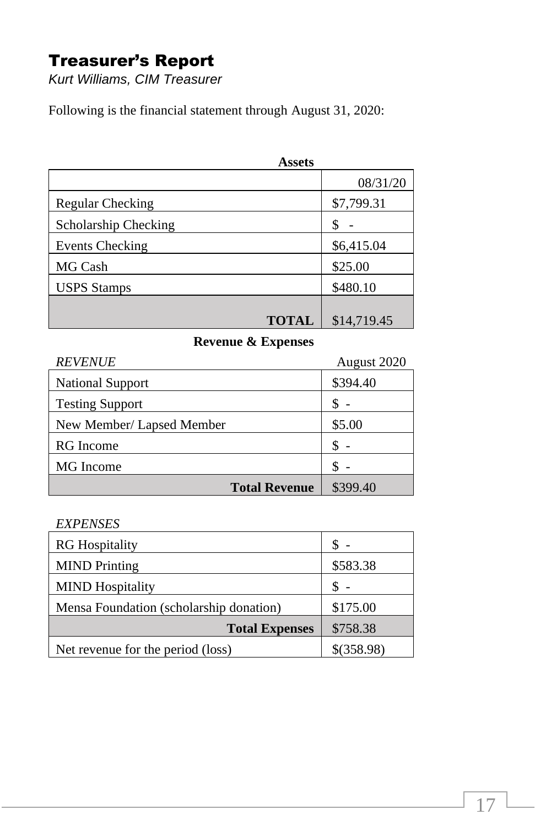## Treasurer's Report

*Kurt Williams, CIM Treasurer*

Following is the financial statement through August 31, 2020:

| <b>Assets</b>        |             |
|----------------------|-------------|
|                      | 08/31/20    |
| Regular Checking     | \$7,799.31  |
| Scholarship Checking | \$          |
| Events Checking      | \$6,415.04  |
| MG Cash              | \$25.00     |
| <b>USPS</b> Stamps   | \$480.10    |
|                      |             |
| <b>TOTAL</b>         | \$14,719.45 |

## **Revenue & Expenses**

| <b>REVENUE</b>            | August 2020 |
|---------------------------|-------------|
| <b>National Support</b>   | \$394.40    |
| <b>Testing Support</b>    |             |
| New Member/ Lapsed Member | \$5.00      |
| <b>RG</b> Income          |             |
| MG Income                 |             |
| <b>Total Revenue</b>      | \$399.40    |

#### *EXPENSES*

| <b>RG</b> Hospitality                   |            |
|-----------------------------------------|------------|
| <b>MIND</b> Printing                    | \$583.38   |
| <b>MIND</b> Hospitality                 |            |
| Mensa Foundation (scholarship donation) | \$175.00   |
| <b>Total Expenses</b>                   | \$758.38   |
| Net revenue for the period (loss)       | \$(358.98) |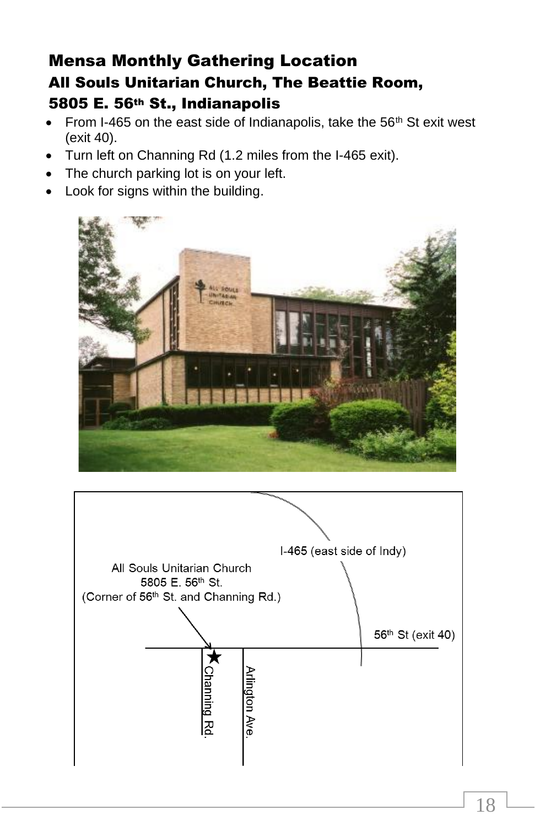## Mensa Monthly Gathering Location All Souls Unitarian Church, The Beattie Room, 5805 E. 56th St., Indianapolis

- From I-465 on the east side of Indianapolis, take the  $56<sup>th</sup>$  St exit west (exit 40).
- Turn left on Channing Rd (1.2 miles from the I-465 exit).
- The church parking lot is on your left.
- Look for signs within the building.